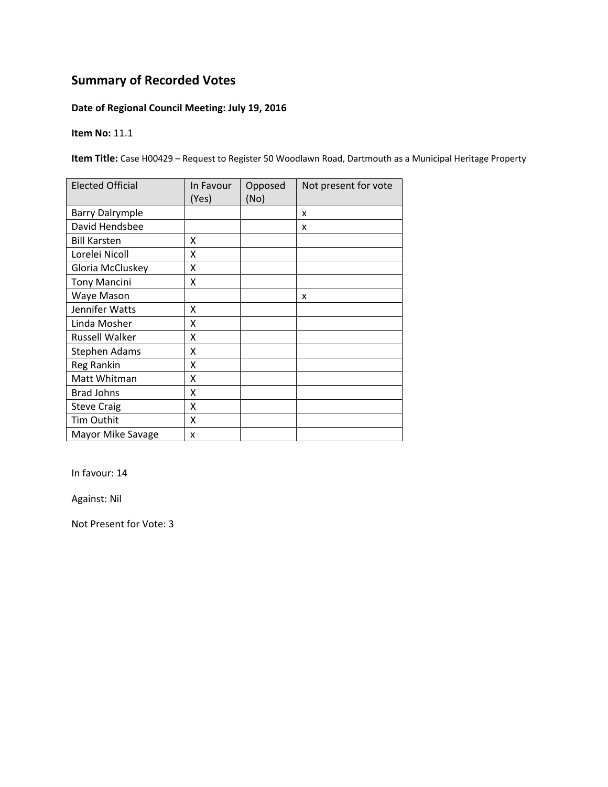### **Date of Regional Council Meeting: July 19, 2016**

**Item No:** 11.1

**Item Title:** Case H00429 – Request to Register 50 Woodlawn Road, Dartmouth as a Municipal Heritage Property

| <b>Elected Official</b> | In Favour<br>(Yes) | Opposed<br>(No) | Not present for vote |
|-------------------------|--------------------|-----------------|----------------------|
| <b>Barry Dalrymple</b>  |                    |                 | x                    |
| David Hendsbee          |                    |                 | x                    |
| <b>Bill Karsten</b>     | x                  |                 |                      |
| Lorelei Nicoll          | x                  |                 |                      |
| Gloria McCluskey        | Χ                  |                 |                      |
| <b>Tony Mancini</b>     | Χ                  |                 |                      |
| Waye Mason              |                    |                 | x                    |
| Jennifer Watts          | X                  |                 |                      |
| Linda Mosher            | X                  |                 |                      |
| <b>Russell Walker</b>   | Χ                  |                 |                      |
| <b>Stephen Adams</b>    | X                  |                 |                      |
| Reg Rankin              | X                  |                 |                      |
| Matt Whitman            | Χ                  |                 |                      |
| <b>Brad Johns</b>       | X                  |                 |                      |
| <b>Steve Craig</b>      | Χ                  |                 |                      |
| <b>Tim Outhit</b>       | X                  |                 |                      |
| Mayor Mike Savage       | X                  |                 |                      |

In favour: 14

Against: Nil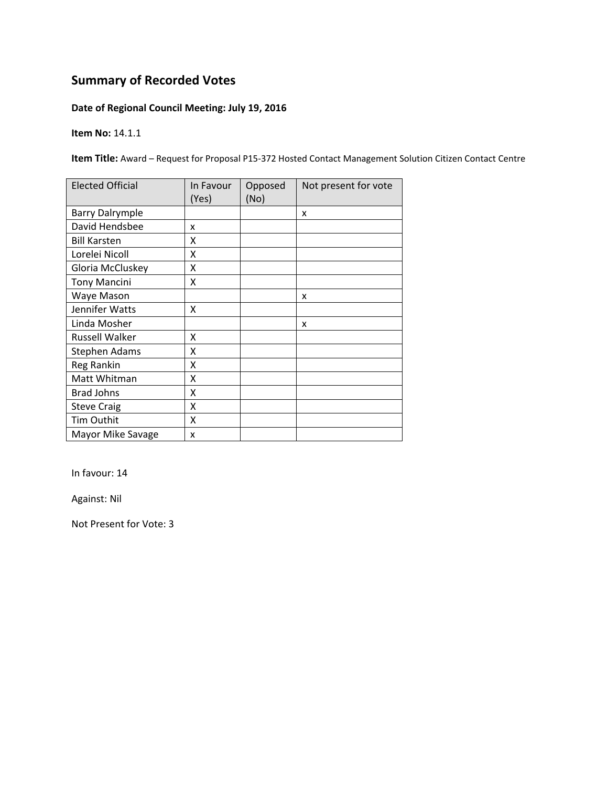### **Date of Regional Council Meeting: July 19, 2016**

**Item No:** 14.1.1

**Item Title:** Award – Request for Proposal P15‐372 Hosted Contact Management Solution Citizen Contact Centre

| <b>Elected Official</b> | In Favour<br>(Yes) | Opposed<br>(No) | Not present for vote |
|-------------------------|--------------------|-----------------|----------------------|
| <b>Barry Dalrymple</b>  |                    |                 | x                    |
| David Hendsbee          | x                  |                 |                      |
| <b>Bill Karsten</b>     | x                  |                 |                      |
| Lorelei Nicoll          | x                  |                 |                      |
| Gloria McCluskey        | Χ                  |                 |                      |
| <b>Tony Mancini</b>     | Χ                  |                 |                      |
| Waye Mason              |                    |                 | x                    |
| Jennifer Watts          | X                  |                 |                      |
| Linda Mosher            |                    |                 | x                    |
| <b>Russell Walker</b>   | Χ                  |                 |                      |
| <b>Stephen Adams</b>    | X                  |                 |                      |
| Reg Rankin              | Χ                  |                 |                      |
| Matt Whitman            | Χ                  |                 |                      |
| <b>Brad Johns</b>       | X                  |                 |                      |
| <b>Steve Craig</b>      | Χ                  |                 |                      |
| <b>Tim Outhit</b>       | X                  |                 |                      |
| Mayor Mike Savage       | X                  |                 |                      |

In favour: 14

Against: Nil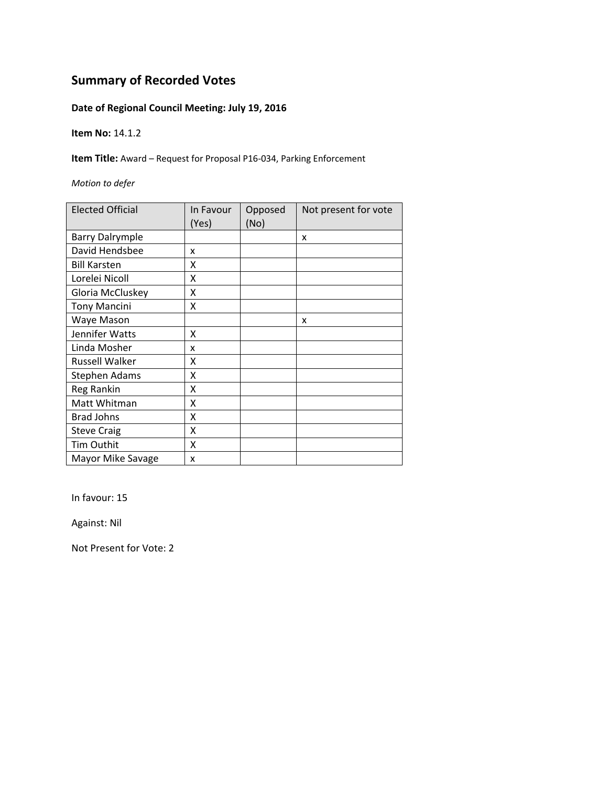### **Date of Regional Council Meeting: July 19, 2016**

**Item No:** 14.1.2

**Item Title:** Award – Request for Proposal P16‐034, Parking Enforcement

*Motion to defer*

| <b>Elected Official</b> | In Favour<br>(Yes) | Opposed<br>(No) | Not present for vote |
|-------------------------|--------------------|-----------------|----------------------|
| <b>Barry Dalrymple</b>  |                    |                 | X                    |
| David Hendsbee          | x                  |                 |                      |
| <b>Bill Karsten</b>     | x                  |                 |                      |
| Lorelei Nicoll          | X                  |                 |                      |
| Gloria McCluskey        | X                  |                 |                      |
| <b>Tony Mancini</b>     | Χ                  |                 |                      |
| Waye Mason              |                    |                 | x                    |
| Jennifer Watts          | x                  |                 |                      |
| Linda Mosher            | x                  |                 |                      |
| <b>Russell Walker</b>   | x                  |                 |                      |
| <b>Stephen Adams</b>    | x                  |                 |                      |
| <b>Reg Rankin</b>       | X                  |                 |                      |
| Matt Whitman            | X                  |                 |                      |
| <b>Brad Johns</b>       | Χ                  |                 |                      |
| <b>Steve Craig</b>      | X                  |                 |                      |
| Tim Outhit              | X                  |                 |                      |
| Mayor Mike Savage       | x                  |                 |                      |

In favour: 15

Against: Nil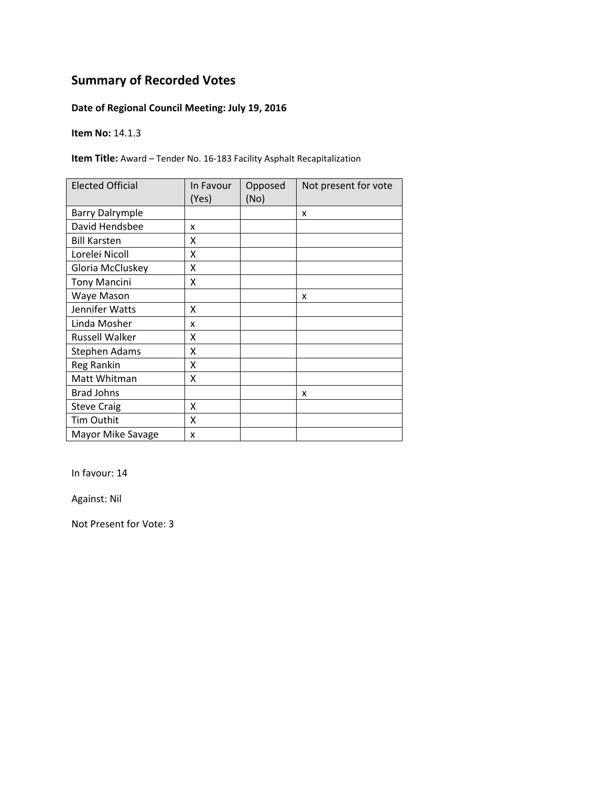### **Date of Regional Council Meeting: July 19, 2016**

**Item No:** 14.1.3

**Item Title:** Award – Tender No. 16‐183 Facility Asphalt Recapitalization

| <b>Elected Official</b> | In Favour<br>(Yes) | Opposed<br>(No) | Not present for vote |
|-------------------------|--------------------|-----------------|----------------------|
| <b>Barry Dalrymple</b>  |                    |                 | X                    |
| David Hendsbee          | x                  |                 |                      |
| <b>Bill Karsten</b>     | X                  |                 |                      |
| Lorelei Nicoll          | X                  |                 |                      |
| Gloria McCluskey        | Χ                  |                 |                      |
| <b>Tony Mancini</b>     | Χ                  |                 |                      |
| Waye Mason              |                    |                 | x                    |
| Jennifer Watts          | X                  |                 |                      |
| Linda Mosher            | x                  |                 |                      |
| Russell Walker          | x                  |                 |                      |
| Stephen Adams           | Χ                  |                 |                      |
| Reg Rankin              | X                  |                 |                      |
| Matt Whitman            | Χ                  |                 |                      |
| <b>Brad Johns</b>       |                    |                 | x                    |
| <b>Steve Craig</b>      | X                  |                 |                      |
| Tim Outhit              | Χ                  |                 |                      |
| Mayor Mike Savage       | x                  |                 |                      |

In favour: 14

Against: Nil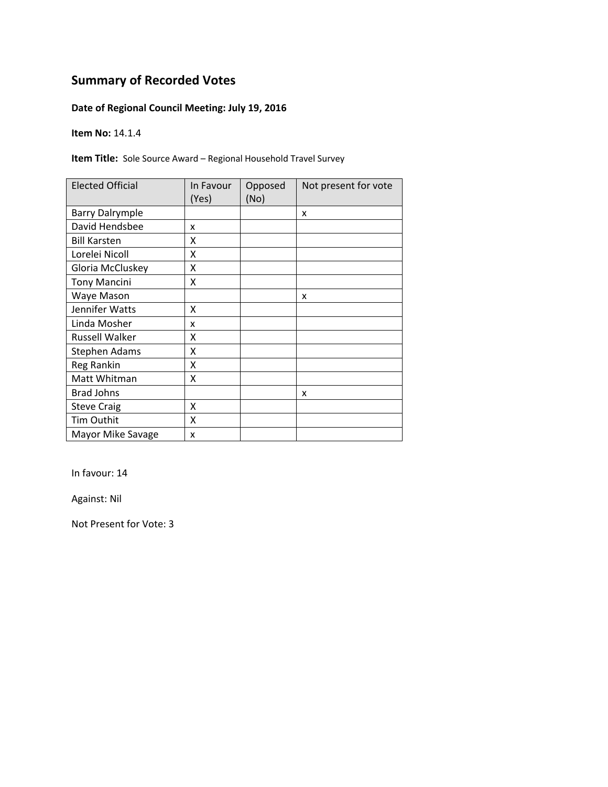### **Date of Regional Council Meeting: July 19, 2016**

**Item No:** 14.1.4

**Item Title:** Sole Source Award – Regional Household Travel Survey

| <b>Elected Official</b> | In Favour<br>(Yes) | Opposed<br>(No) | Not present for vote |
|-------------------------|--------------------|-----------------|----------------------|
| <b>Barry Dalrymple</b>  |                    |                 | x                    |
| David Hendsbee          | x                  |                 |                      |
| <b>Bill Karsten</b>     | χ                  |                 |                      |
| Lorelei Nicoll          | Χ                  |                 |                      |
| Gloria McCluskey        | Χ                  |                 |                      |
| <b>Tony Mancini</b>     | Χ                  |                 |                      |
| Waye Mason              |                    |                 | x                    |
| Jennifer Watts          | x                  |                 |                      |
| Linda Mosher            | x                  |                 |                      |
| <b>Russell Walker</b>   | χ                  |                 |                      |
| Stephen Adams           | χ                  |                 |                      |
| Reg Rankin              | X                  |                 |                      |
| Matt Whitman            | Χ                  |                 |                      |
| <b>Brad Johns</b>       |                    |                 | X                    |
| <b>Steve Craig</b>      | Χ                  |                 |                      |
| Tim Outhit              | X                  |                 |                      |
| Mayor Mike Savage       | X                  |                 |                      |

In favour: 14

Against: Nil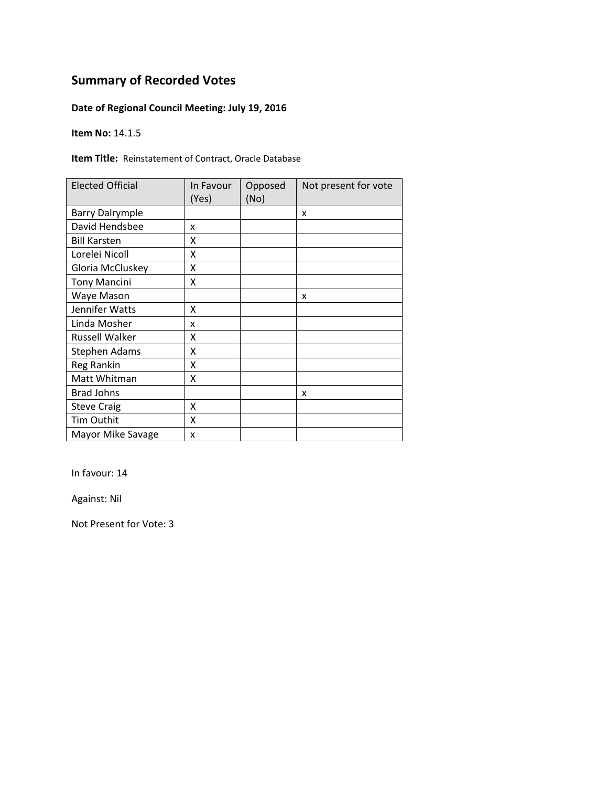### **Date of Regional Council Meeting: July 19, 2016**

**Item No:** 14.1.5

**Item Title:** Reinstatement of Contract, Oracle Database

| <b>Elected Official</b> | In Favour<br>(Yes) | Opposed<br>(No) | Not present for vote |
|-------------------------|--------------------|-----------------|----------------------|
| <b>Barry Dalrymple</b>  |                    |                 | x                    |
| David Hendsbee          | x                  |                 |                      |
| <b>Bill Karsten</b>     | χ                  |                 |                      |
| Lorelei Nicoll          | Χ                  |                 |                      |
| Gloria McCluskey        | Χ                  |                 |                      |
| <b>Tony Mancini</b>     | Χ                  |                 |                      |
| Waye Mason              |                    |                 | x                    |
| Jennifer Watts          | χ                  |                 |                      |
| Linda Mosher            | x                  |                 |                      |
| <b>Russell Walker</b>   | χ                  |                 |                      |
| Stephen Adams           | χ                  |                 |                      |
| Reg Rankin              | Χ                  |                 |                      |
| Matt Whitman            | Χ                  |                 |                      |
| <b>Brad Johns</b>       |                    |                 | x                    |
| <b>Steve Craig</b>      | Χ                  |                 |                      |
| <b>Tim Outhit</b>       | X                  |                 |                      |
| Mayor Mike Savage       | X                  |                 |                      |

In favour: 14

Against: Nil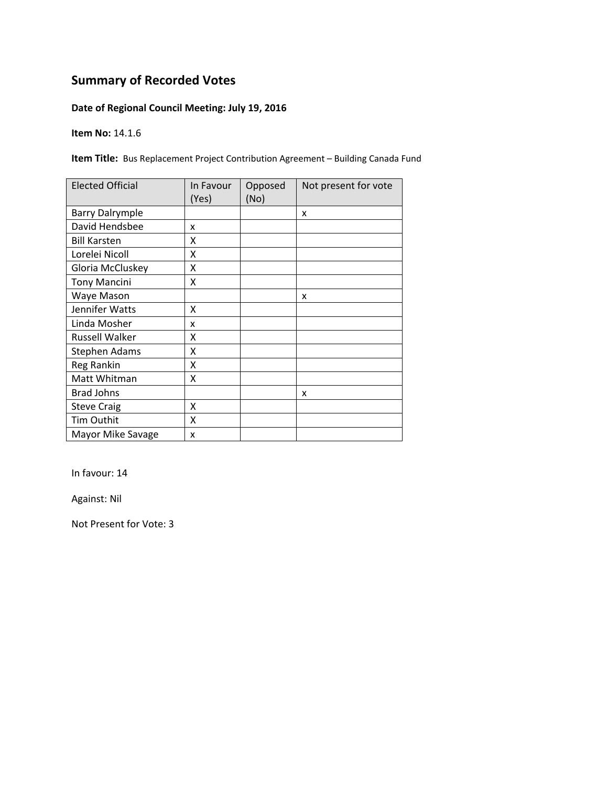### **Date of Regional Council Meeting: July 19, 2016**

**Item No:** 14.1.6

**Item Title:** Bus Replacement Project Contribution Agreement – Building Canada Fund

| <b>Elected Official</b> | In Favour<br>(Yes) | Opposed<br>(No) | Not present for vote |
|-------------------------|--------------------|-----------------|----------------------|
| <b>Barry Dalrymple</b>  |                    |                 | X                    |
| David Hendsbee          | x                  |                 |                      |
| <b>Bill Karsten</b>     | x                  |                 |                      |
| Lorelei Nicoll          | x                  |                 |                      |
| Gloria McCluskey        | Χ                  |                 |                      |
| <b>Tony Mancini</b>     | X                  |                 |                      |
| Waye Mason              |                    |                 | x                    |
| Jennifer Watts          | x                  |                 |                      |
| Linda Mosher            | x                  |                 |                      |
| Russell Walker          | X                  |                 |                      |
| <b>Stephen Adams</b>    | X                  |                 |                      |
| Reg Rankin              | X                  |                 |                      |
| Matt Whitman            | X                  |                 |                      |
| <b>Brad Johns</b>       |                    |                 | x                    |
| <b>Steve Craig</b>      | X                  |                 |                      |
| <b>Tim Outhit</b>       | X                  |                 |                      |
| Mayor Mike Savage       | X                  |                 |                      |

In favour: 14

Against: Nil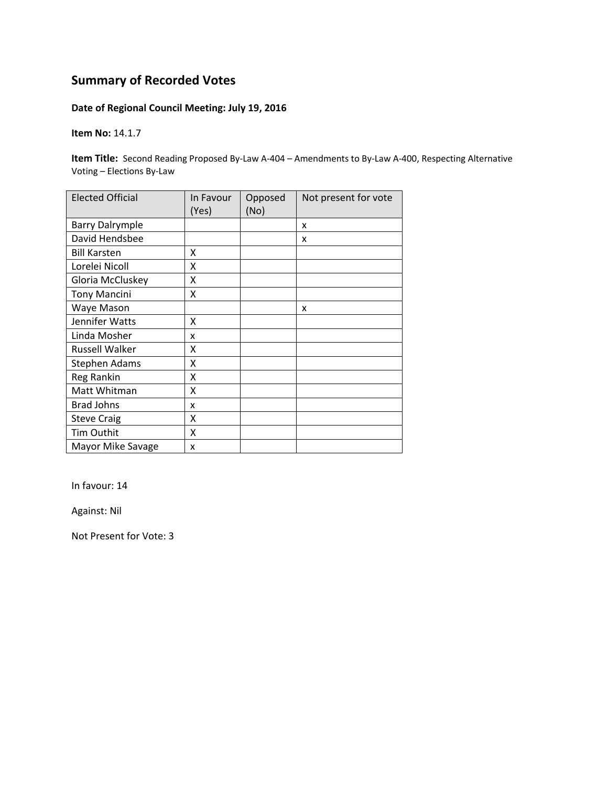### **Date of Regional Council Meeting: July 19, 2016**

**Item No:** 14.1.7

**Item Title:** Second Reading Proposed By-Law A-404 – Amendments to By-Law A-400, Respecting Alternative Voting – Elections By‐Law

| <b>Elected Official</b> | In Favour<br>(Yes) | Opposed<br>(No) | Not present for vote |
|-------------------------|--------------------|-----------------|----------------------|
| <b>Barry Dalrymple</b>  |                    |                 | X                    |
| David Hendsbee          |                    |                 | X                    |
| <b>Bill Karsten</b>     | X                  |                 |                      |
| Lorelei Nicoll          | X                  |                 |                      |
| Gloria McCluskey        | X                  |                 |                      |
| <b>Tony Mancini</b>     | X                  |                 |                      |
| Waye Mason              |                    |                 | X                    |
| Jennifer Watts          | Χ                  |                 |                      |
| Linda Mosher            | x                  |                 |                      |
| <b>Russell Walker</b>   | Χ                  |                 |                      |
| <b>Stephen Adams</b>    | Χ                  |                 |                      |
| Reg Rankin              | Χ                  |                 |                      |
| Matt Whitman            | Χ                  |                 |                      |
| <b>Brad Johns</b>       | x                  |                 |                      |
| <b>Steve Craig</b>      | Χ                  |                 |                      |
| Tim Outhit              | X                  |                 |                      |
| Mayor Mike Savage       | x                  |                 |                      |

In favour: 14

Against: Nil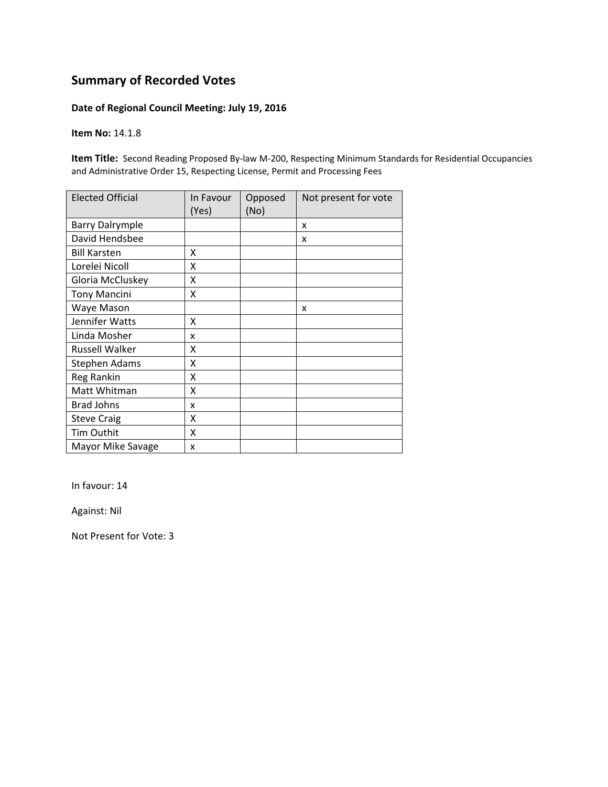#### **Date of Regional Council Meeting: July 19, 2016**

#### **Item No:** 14.1.8

Item Title: Second Reading Proposed By-law M-200, Respecting Minimum Standards for Residential Occupancies and Administrative Order 15, Respecting License, Permit and Processing Fees

| <b>Elected Official</b> | In Favour<br>(Yes) | Opposed<br>(No) | Not present for vote |
|-------------------------|--------------------|-----------------|----------------------|
| <b>Barry Dalrymple</b>  |                    |                 | x                    |
| David Hendsbee          |                    |                 | x                    |
| <b>Bill Karsten</b>     | Χ                  |                 |                      |
| Lorelei Nicoll          | Χ                  |                 |                      |
| Gloria McCluskey        | Χ                  |                 |                      |
| <b>Tony Mancini</b>     | Χ                  |                 |                      |
| Waye Mason              |                    |                 | X                    |
| Jennifer Watts          | Χ                  |                 |                      |
| Linda Mosher            | x                  |                 |                      |
| Russell Walker          | x                  |                 |                      |
| <b>Stephen Adams</b>    | Χ                  |                 |                      |
| Reg Rankin              | Χ                  |                 |                      |
| Matt Whitman            | Χ                  |                 |                      |
| <b>Brad Johns</b>       | x                  |                 |                      |
| <b>Steve Craig</b>      | Χ                  |                 |                      |
| Tim Outhit              | X                  |                 |                      |
| Mayor Mike Savage       | x                  |                 |                      |

In favour: 14

Against: Nil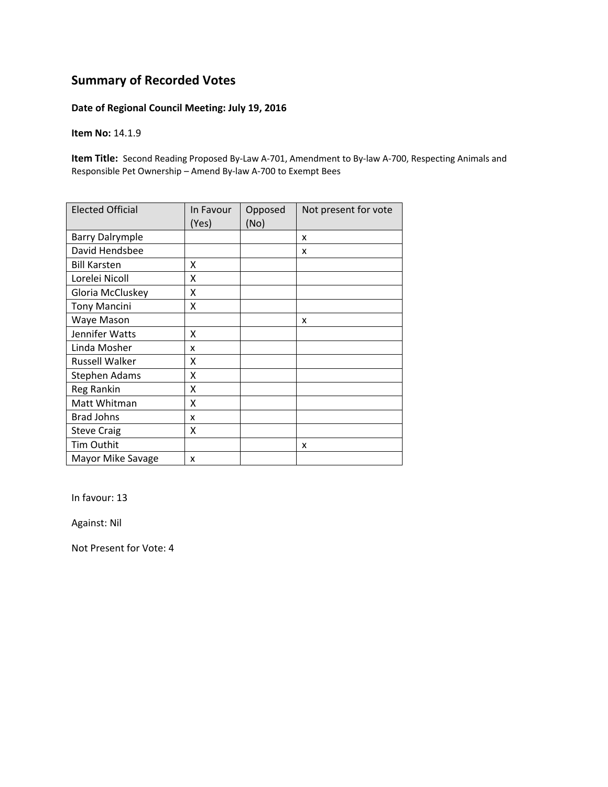#### **Date of Regional Council Meeting: July 19, 2016**

**Item No:** 14.1.9

**Item Title:** Second Reading Proposed By-Law A-701, Amendment to By-law A-700, Respecting Animals and Responsible Pet Ownership – Amend By‐law A‐700 to Exempt Bees

| <b>Elected Official</b> | In Favour<br>(Yes) | Opposed<br>(No) | Not present for vote |
|-------------------------|--------------------|-----------------|----------------------|
| <b>Barry Dalrymple</b>  |                    |                 | x                    |
| David Hendsbee          |                    |                 | x                    |
| <b>Bill Karsten</b>     | x                  |                 |                      |
| Lorelei Nicoll          | X                  |                 |                      |
| Gloria McCluskey        | X                  |                 |                      |
| <b>Tony Mancini</b>     | X                  |                 |                      |
| Waye Mason              |                    |                 | x                    |
| Jennifer Watts          | x                  |                 |                      |
| Linda Mosher            | x                  |                 |                      |
| <b>Russell Walker</b>   | x                  |                 |                      |
| Stephen Adams           | x                  |                 |                      |
| Reg Rankin              | X                  |                 |                      |
| Matt Whitman            | Χ                  |                 |                      |
| <b>Brad Johns</b>       | x                  |                 |                      |
| <b>Steve Craig</b>      | Χ                  |                 |                      |
| Tim Outhit              |                    |                 | x                    |
| Mayor Mike Savage       | x                  |                 |                      |

In favour: 13

Against: Nil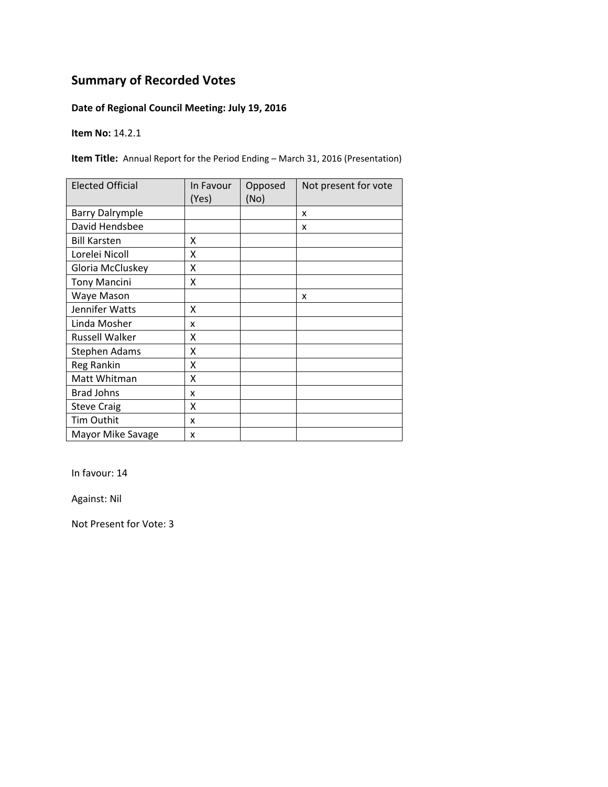### **Date of Regional Council Meeting: July 19, 2016**

**Item No:** 14.2.1

**Item Title:** Annual Report for the Period Ending – March 31, 2016 (Presentation)

| <b>Elected Official</b> | In Favour<br>(Yes) | Opposed<br>(No) | Not present for vote |
|-------------------------|--------------------|-----------------|----------------------|
| <b>Barry Dalrymple</b>  |                    |                 | X                    |
| David Hendsbee          |                    |                 | X                    |
| <b>Bill Karsten</b>     | x                  |                 |                      |
| Lorelei Nicoll          | X                  |                 |                      |
| Gloria McCluskey        | Χ                  |                 |                      |
| <b>Tony Mancini</b>     | Χ                  |                 |                      |
| Waye Mason              |                    |                 | x                    |
| Jennifer Watts          | X                  |                 |                      |
| Linda Mosher            | x                  |                 |                      |
| Russell Walker          | x                  |                 |                      |
| Stephen Adams           | Χ                  |                 |                      |
| Reg Rankin              | X                  |                 |                      |
| Matt Whitman            | X                  |                 |                      |
| <b>Brad Johns</b>       | x                  |                 |                      |
| <b>Steve Craig</b>      | Χ                  |                 |                      |
| Tim Outhit              | x                  |                 |                      |
| Mayor Mike Savage       | x                  |                 |                      |

In favour: 14

Against: Nil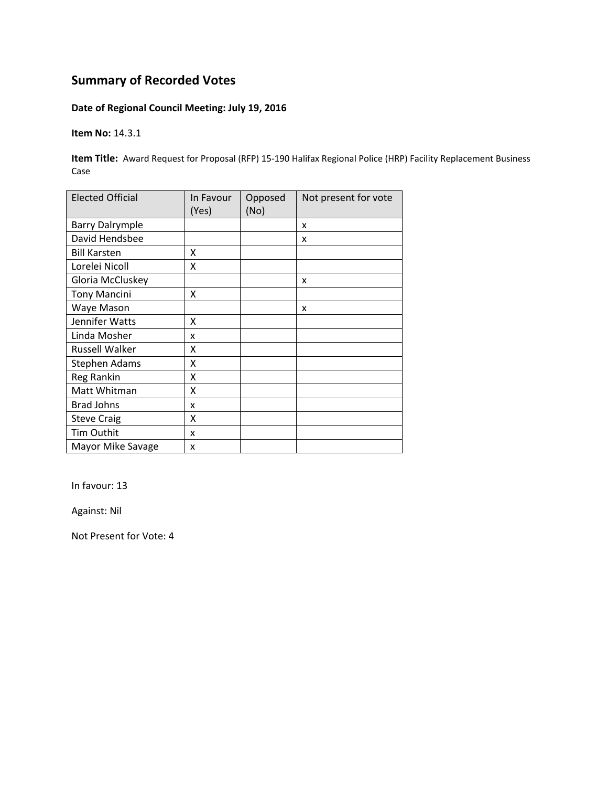### **Date of Regional Council Meeting: July 19, 2016**

**Item No:** 14.3.1

**Item Title:** Award Request for Proposal (RFP) 15-190 Halifax Regional Police (HRP) Facility Replacement Business Case

| <b>Elected Official</b> | In Favour<br>(Yes) | Opposed<br>(No) | Not present for vote |
|-------------------------|--------------------|-----------------|----------------------|
| <b>Barry Dalrymple</b>  |                    |                 | X                    |
| David Hendsbee          |                    |                 | X                    |
| <b>Bill Karsten</b>     | X                  |                 |                      |
| Lorelei Nicoll          | Χ                  |                 |                      |
| Gloria McCluskey        |                    |                 | X                    |
| <b>Tony Mancini</b>     | x                  |                 |                      |
| Waye Mason              |                    |                 | X                    |
| Jennifer Watts          | Χ                  |                 |                      |
| Linda Mosher            | x                  |                 |                      |
| <b>Russell Walker</b>   | Χ                  |                 |                      |
| <b>Stephen Adams</b>    | Χ                  |                 |                      |
| Reg Rankin              | Χ                  |                 |                      |
| Matt Whitman            | Χ                  |                 |                      |
| <b>Brad Johns</b>       | x                  |                 |                      |
| <b>Steve Craig</b>      | Χ                  |                 |                      |
| Tim Outhit              | x                  |                 |                      |
| Mayor Mike Savage       | x                  |                 |                      |

In favour: 13

Against: Nil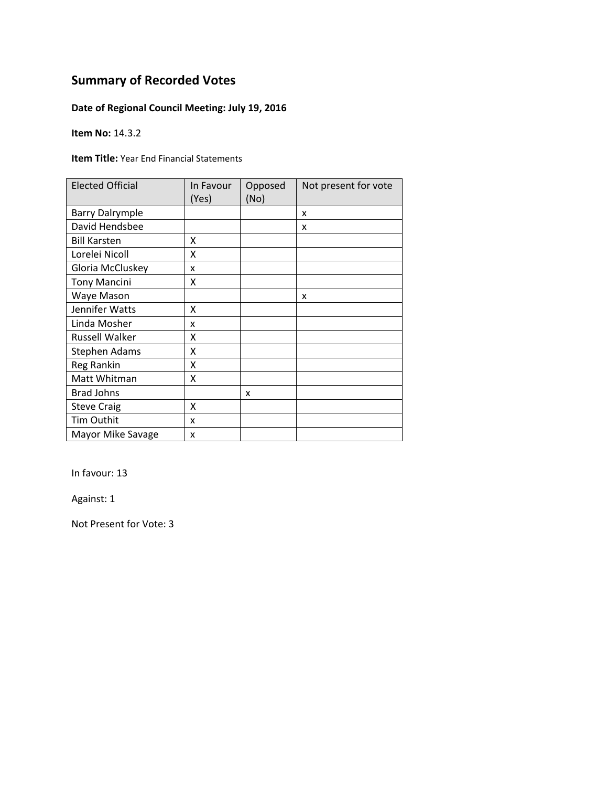### **Date of Regional Council Meeting: July 19, 2016**

**Item No:** 14.3.2

**Item Title:** Year End Financial Statements

| <b>Elected Official</b> | In Favour<br>(Yes) | Opposed<br>(No) | Not present for vote |
|-------------------------|--------------------|-----------------|----------------------|
| <b>Barry Dalrymple</b>  |                    |                 | X                    |
| David Hendsbee          |                    |                 | x                    |
| <b>Bill Karsten</b>     | x                  |                 |                      |
| Lorelei Nicoll          | X                  |                 |                      |
| Gloria McCluskey        | x                  |                 |                      |
| <b>Tony Mancini</b>     | Χ                  |                 |                      |
| Waye Mason              |                    |                 | X                    |
| Jennifer Watts          | x                  |                 |                      |
| Linda Mosher            | x                  |                 |                      |
| <b>Russell Walker</b>   | x                  |                 |                      |
| Stephen Adams           | X                  |                 |                      |
| Reg Rankin              | X                  |                 |                      |
| Matt Whitman            | X                  |                 |                      |
| <b>Brad Johns</b>       |                    | x               |                      |
| <b>Steve Craig</b>      | X                  |                 |                      |
| Tim Outhit              | x                  |                 |                      |
| Mayor Mike Savage       | x                  |                 |                      |

In favour: 13

Against: 1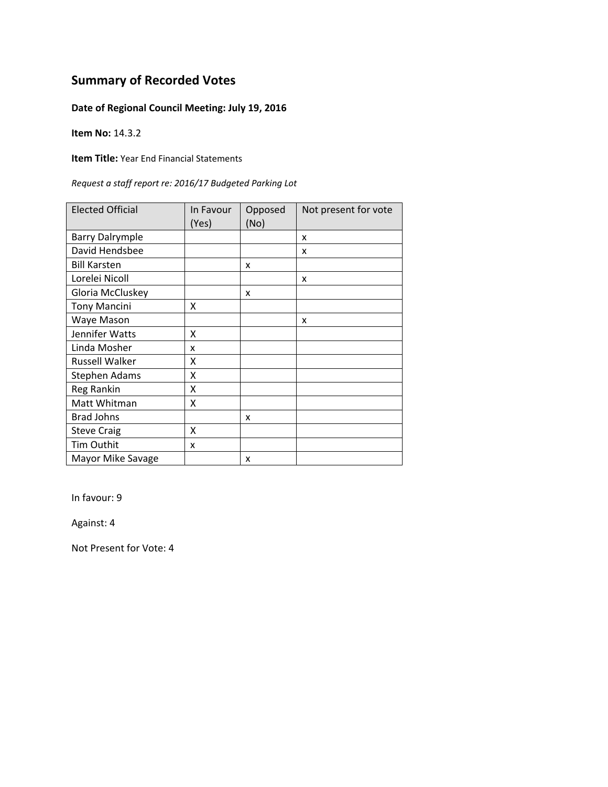### **Date of Regional Council Meeting: July 19, 2016**

**Item No:** 14.3.2

**Item Title:** Year End Financial Statements

| Request a staff report re: 2016/17 Budgeted Parking Lot |  |  |
|---------------------------------------------------------|--|--|
|---------------------------------------------------------|--|--|

| <b>Elected Official</b> | In Favour<br>(Yes) | Opposed<br>(No) | Not present for vote |
|-------------------------|--------------------|-----------------|----------------------|
| <b>Barry Dalrymple</b>  |                    |                 | X                    |
| David Hendsbee          |                    |                 | x                    |
| <b>Bill Karsten</b>     |                    | x               |                      |
| Lorelei Nicoll          |                    |                 | x                    |
| Gloria McCluskey        |                    | x               |                      |
| <b>Tony Mancini</b>     | x                  |                 |                      |
| Waye Mason              |                    |                 | x                    |
| Jennifer Watts          | X                  |                 |                      |
| Linda Mosher            | x                  |                 |                      |
| <b>Russell Walker</b>   | x                  |                 |                      |
| Stephen Adams           | Χ                  |                 |                      |
| Reg Rankin              | χ                  |                 |                      |
| Matt Whitman            | Χ                  |                 |                      |
| <b>Brad Johns</b>       |                    | x               |                      |
| <b>Steve Craig</b>      | X                  |                 |                      |
| Tim Outhit              | x                  |                 |                      |
| Mayor Mike Savage       |                    | x               |                      |

In favour: 9

Against: 4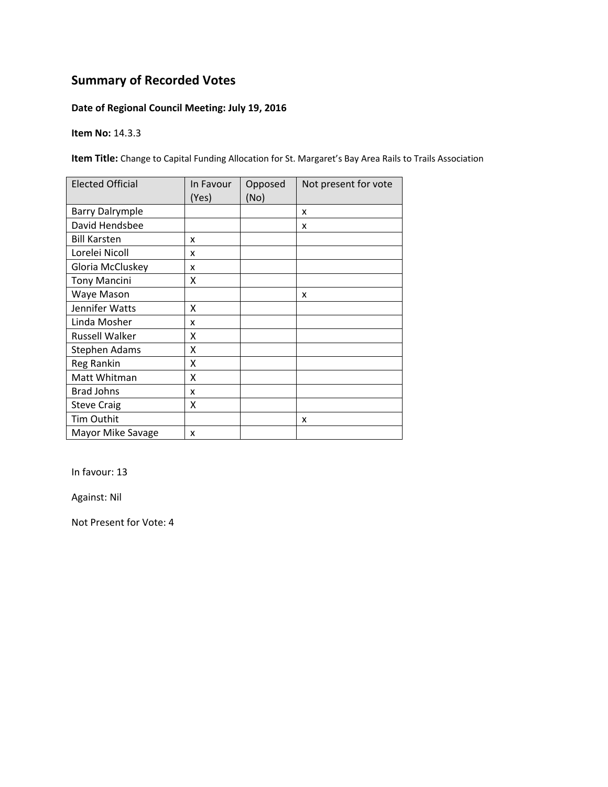### **Date of Regional Council Meeting: July 19, 2016**

**Item No:** 14.3.3

**Item Title:** Change to Capital Funding Allocation for St. Margaret's Bay Area Rails to Trails Association

| <b>Elected Official</b> | In Favour<br>(Yes) | Opposed<br>(No) | Not present for vote |
|-------------------------|--------------------|-----------------|----------------------|
| <b>Barry Dalrymple</b>  |                    |                 | X                    |
| David Hendsbee          |                    |                 | x                    |
| <b>Bill Karsten</b>     | x                  |                 |                      |
| Lorelei Nicoll          | x                  |                 |                      |
| Gloria McCluskey        | x                  |                 |                      |
| <b>Tony Mancini</b>     | X                  |                 |                      |
| Waye Mason              |                    |                 | x                    |
| Jennifer Watts          | x                  |                 |                      |
| Linda Mosher            | x                  |                 |                      |
| Russell Walker          | X                  |                 |                      |
| <b>Stephen Adams</b>    | X                  |                 |                      |
| Reg Rankin              | X                  |                 |                      |
| Matt Whitman            | X                  |                 |                      |
| <b>Brad Johns</b>       | x                  |                 |                      |
| <b>Steve Craig</b>      | X                  |                 |                      |
| Tim Outhit              |                    |                 | X                    |
| Mayor Mike Savage       | x                  |                 |                      |

In favour: 13

Against: Nil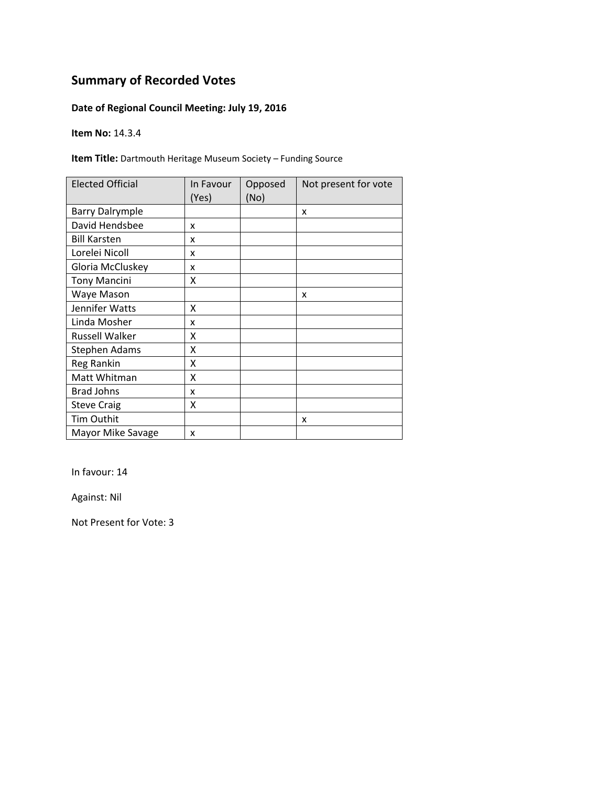### **Date of Regional Council Meeting: July 19, 2016**

**Item No:** 14.3.4

**Item Title:** Dartmouth Heritage Museum Society – Funding Source

| <b>Elected Official</b> | In Favour<br>(Yes) | Opposed<br>(No) | Not present for vote |
|-------------------------|--------------------|-----------------|----------------------|
| <b>Barry Dalrymple</b>  |                    |                 | x                    |
| David Hendsbee          | X                  |                 |                      |
| <b>Bill Karsten</b>     | x                  |                 |                      |
| Lorelei Nicoll          | x                  |                 |                      |
| Gloria McCluskey        | x                  |                 |                      |
| <b>Tony Mancini</b>     | Χ                  |                 |                      |
| Waye Mason              |                    |                 | X                    |
| Jennifer Watts          | X                  |                 |                      |
| Linda Mosher            | x                  |                 |                      |
| <b>Russell Walker</b>   | x                  |                 |                      |
| Stephen Adams           | x                  |                 |                      |
| Reg Rankin              | X                  |                 |                      |
| Matt Whitman            | Χ                  |                 |                      |
| <b>Brad Johns</b>       | x                  |                 |                      |
| <b>Steve Craig</b>      | Χ                  |                 |                      |
| Tim Outhit              |                    |                 | x                    |
| Mayor Mike Savage       | x                  |                 |                      |

In favour: 14

Against: Nil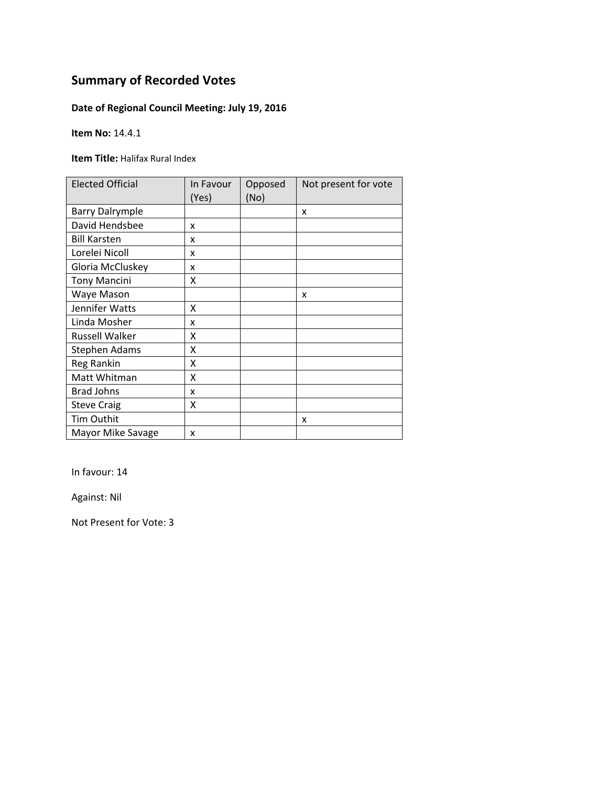### **Date of Regional Council Meeting: July 19, 2016**

**Item No:** 14.4.1

**Item Title:** Halifax Rural Index

| <b>Elected Official</b> | In Favour<br>(Yes) | Opposed<br>(No) | Not present for vote |
|-------------------------|--------------------|-----------------|----------------------|
| <b>Barry Dalrymple</b>  |                    |                 | x                    |
| David Hendsbee          | x                  |                 |                      |
| <b>Bill Karsten</b>     | x                  |                 |                      |
| Lorelei Nicoll          | x                  |                 |                      |
| Gloria McCluskey        | x                  |                 |                      |
| <b>Tony Mancini</b>     | Χ                  |                 |                      |
| Waye Mason              |                    |                 | x                    |
| Jennifer Watts          | X                  |                 |                      |
| Linda Mosher            | x                  |                 |                      |
| <b>Russell Walker</b>   | Χ                  |                 |                      |
| <b>Stephen Adams</b>    | Χ                  |                 |                      |
| Reg Rankin              | Χ                  |                 |                      |
| Matt Whitman            | Χ                  |                 |                      |
| <b>Brad Johns</b>       | x                  |                 |                      |
| <b>Steve Craig</b>      | Χ                  |                 |                      |
| Tim Outhit              |                    |                 | x                    |
| Mayor Mike Savage       | x                  |                 |                      |

In favour: 14

Against: Nil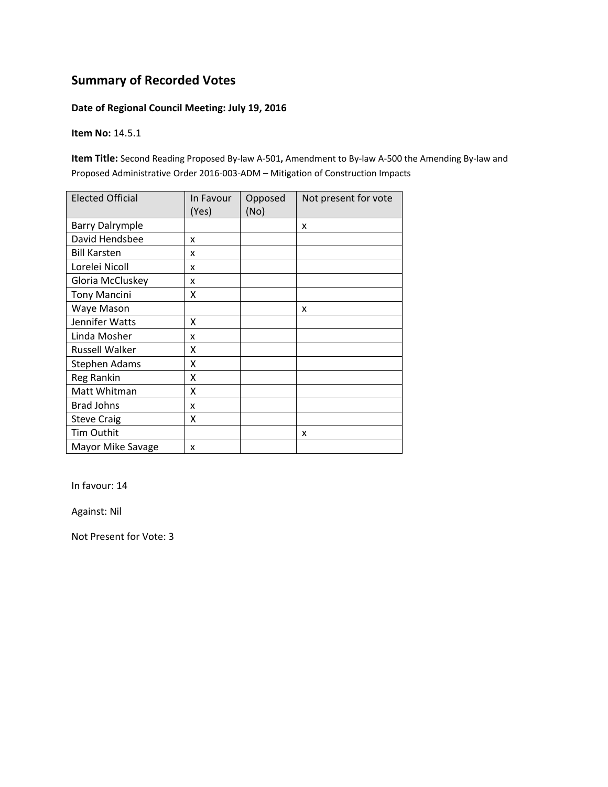#### **Date of Regional Council Meeting: July 19, 2016**

**Item No:** 14.5.1

**Item Title:** Second Reading Proposed By‐law A‐501**,** Amendment to By‐law A‐500 the Amending By‐law and Proposed Administrative Order 2016‐003‐ADM – Mitigation of Construction Impacts

| <b>Elected Official</b> | In Favour<br>(Yes) | Opposed<br>(No) | Not present for vote |
|-------------------------|--------------------|-----------------|----------------------|
| <b>Barry Dalrymple</b>  |                    |                 | X                    |
| David Hendsbee          | x                  |                 |                      |
| <b>Bill Karsten</b>     | x                  |                 |                      |
| Lorelei Nicoll          | x                  |                 |                      |
| Gloria McCluskey        | x                  |                 |                      |
| <b>Tony Mancini</b>     | x                  |                 |                      |
| Waye Mason              |                    |                 | x                    |
| Jennifer Watts          | Χ                  |                 |                      |
| Linda Mosher            | x                  |                 |                      |
| Russell Walker          | Χ                  |                 |                      |
| <b>Stephen Adams</b>    | Χ                  |                 |                      |
| Reg Rankin              | X                  |                 |                      |
| Matt Whitman            | Χ                  |                 |                      |
| <b>Brad Johns</b>       | x                  |                 |                      |
| <b>Steve Craig</b>      | Χ                  |                 |                      |
| Tim Outhit              |                    |                 | x                    |
| Mayor Mike Savage       | x                  |                 |                      |

In favour: 14

Against: Nil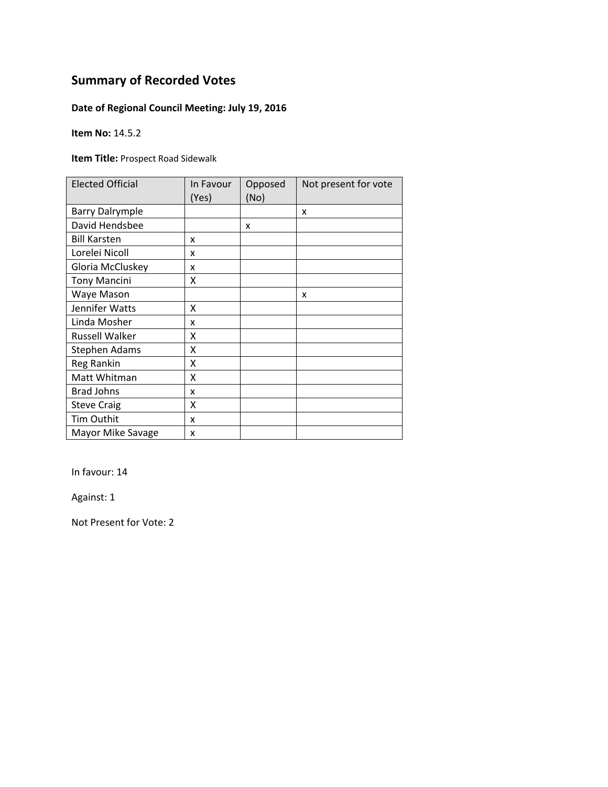### **Date of Regional Council Meeting: July 19, 2016**

**Item No:** 14.5.2

**Item Title:** Prospect Road Sidewalk

| <b>Elected Official</b> | In Favour<br>(Yes) | Opposed<br>(No) | Not present for vote |
|-------------------------|--------------------|-----------------|----------------------|
| <b>Barry Dalrymple</b>  |                    |                 | x                    |
| David Hendsbee          |                    | x               |                      |
| <b>Bill Karsten</b>     | x                  |                 |                      |
| Lorelei Nicoll          | x                  |                 |                      |
| Gloria McCluskey        | x                  |                 |                      |
| <b>Tony Mancini</b>     | Χ                  |                 |                      |
| Waye Mason              |                    |                 | x                    |
| Jennifer Watts          | X                  |                 |                      |
| Linda Mosher            | x                  |                 |                      |
| <b>Russell Walker</b>   | Χ                  |                 |                      |
| <b>Stephen Adams</b>    | Χ                  |                 |                      |
| <b>Reg Rankin</b>       | Χ                  |                 |                      |
| Matt Whitman            | Χ                  |                 |                      |
| <b>Brad Johns</b>       | x                  |                 |                      |
| <b>Steve Craig</b>      | Χ                  |                 |                      |
| Tim Outhit              | x                  |                 |                      |
| Mayor Mike Savage       | x                  |                 |                      |

In favour: 14

Against: 1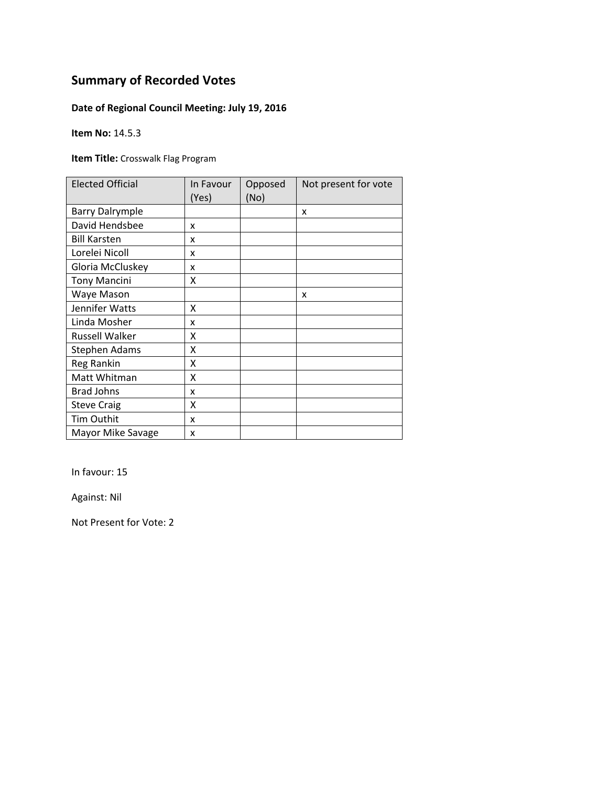### **Date of Regional Council Meeting: July 19, 2016**

**Item No:** 14.5.3

**Item Title:** Crosswalk Flag Program

| <b>Elected Official</b> | In Favour<br>(Yes) | Opposed<br>(No) | Not present for vote |
|-------------------------|--------------------|-----------------|----------------------|
| <b>Barry Dalrymple</b>  |                    |                 | x                    |
| David Hendsbee          | X                  |                 |                      |
| <b>Bill Karsten</b>     | X                  |                 |                      |
| Lorelei Nicoll          | X                  |                 |                      |
| Gloria McCluskey        | X                  |                 |                      |
| <b>Tony Mancini</b>     | X                  |                 |                      |
| Waye Mason              |                    |                 | X                    |
| Jennifer Watts          | X                  |                 |                      |
| Linda Mosher            | x                  |                 |                      |
| <b>Russell Walker</b>   | x                  |                 |                      |
| <b>Stephen Adams</b>    | X                  |                 |                      |
| Reg Rankin              | X                  |                 |                      |
| Matt Whitman            | X                  |                 |                      |
| <b>Brad Johns</b>       | x                  |                 |                      |
| <b>Steve Craig</b>      | Χ                  |                 |                      |
| Tim Outhit              | x                  |                 |                      |
| Mayor Mike Savage       | x                  |                 |                      |

In favour: 15

Against: Nil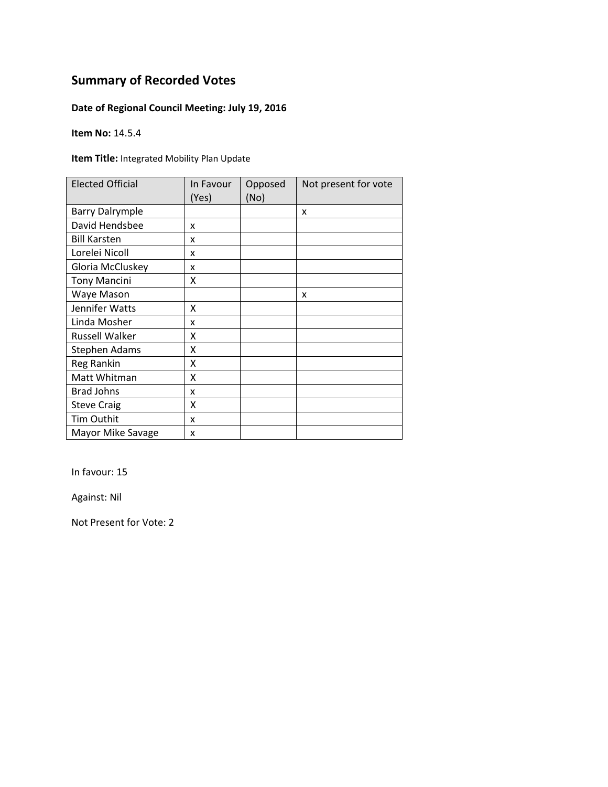### **Date of Regional Council Meeting: July 19, 2016**

**Item No:** 14.5.4

**Item Title:** Integrated Mobility Plan Update

| <b>Elected Official</b> | In Favour<br>(Yes) | Opposed<br>(No) | Not present for vote |
|-------------------------|--------------------|-----------------|----------------------|
| <b>Barry Dalrymple</b>  |                    |                 | x                    |
| David Hendsbee          | X                  |                 |                      |
| <b>Bill Karsten</b>     | X                  |                 |                      |
| Lorelei Nicoll          | X                  |                 |                      |
| Gloria McCluskey        | X                  |                 |                      |
| <b>Tony Mancini</b>     | x                  |                 |                      |
| Waye Mason              |                    |                 | x                    |
| Jennifer Watts          | X                  |                 |                      |
| Linda Mosher            | x                  |                 |                      |
| <b>Russell Walker</b>   | x                  |                 |                      |
| <b>Stephen Adams</b>    | Χ                  |                 |                      |
| Reg Rankin              | X                  |                 |                      |
| Matt Whitman            | Χ                  |                 |                      |
| <b>Brad Johns</b>       | x                  |                 |                      |
| <b>Steve Craig</b>      | Χ                  |                 |                      |
| Tim Outhit              | x                  |                 |                      |
| Mayor Mike Savage       | X                  |                 |                      |

In favour: 15

Against: Nil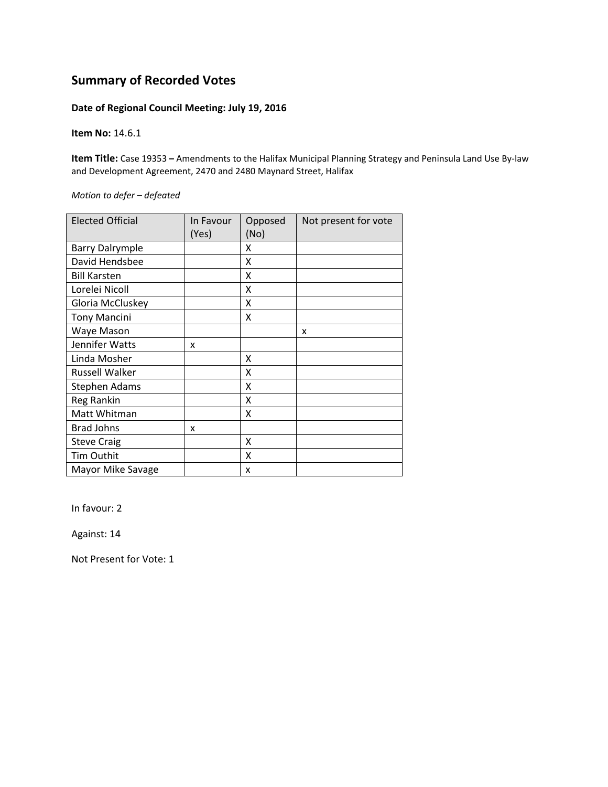#### **Date of Regional Council Meeting: July 19, 2016**

**Item No:** 14.6.1

**Item Title:** Case 19353 **–** Amendments to the Halifax Municipal Planning Strategy and Peninsula Land Use By‐law and Development Agreement, 2470 and 2480 Maynard Street, Halifax

*Motion to defer – defeated*

| <b>Elected Official</b> | In Favour<br>(Yes) | Opposed<br>(No) | Not present for vote |
|-------------------------|--------------------|-----------------|----------------------|
| <b>Barry Dalrymple</b>  |                    | X               |                      |
| David Hendsbee          |                    | x               |                      |
|                         |                    |                 |                      |
| <b>Bill Karsten</b>     |                    | x               |                      |
| Lorelei Nicoll          |                    | x               |                      |
| Gloria McCluskey        |                    | x               |                      |
| <b>Tony Mancini</b>     |                    | x               |                      |
| Waye Mason              |                    |                 | x                    |
| Jennifer Watts          | x                  |                 |                      |
| Linda Mosher            |                    | x               |                      |
| <b>Russell Walker</b>   |                    | Χ               |                      |
| Stephen Adams           |                    | x               |                      |
| Reg Rankin              |                    | Χ               |                      |
| Matt Whitman            |                    | x               |                      |
| <b>Brad Johns</b>       | x                  |                 |                      |
| <b>Steve Craig</b>      |                    | X               |                      |
| <b>Tim Outhit</b>       |                    | X               |                      |
| Mayor Mike Savage       |                    | x               |                      |

In favour: 2

Against: 14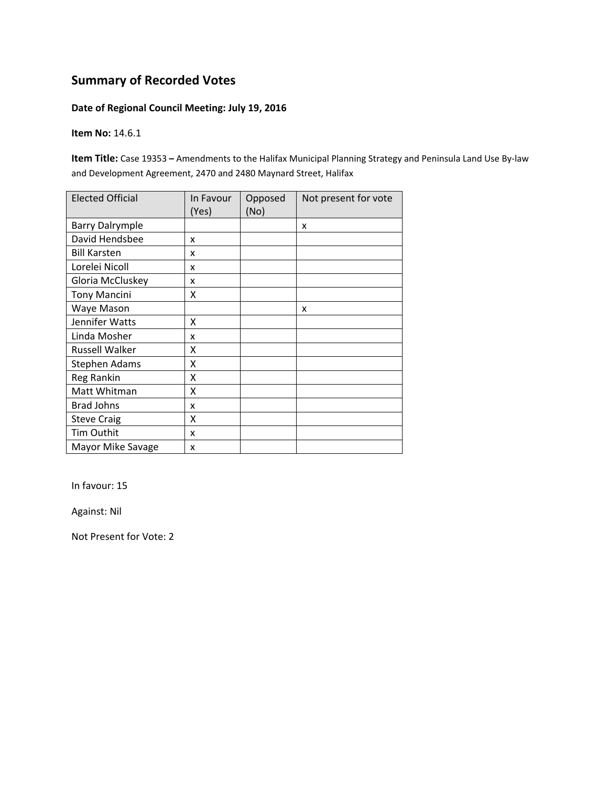#### **Date of Regional Council Meeting: July 19, 2016**

**Item No:** 14.6.1

**Item Title:** Case 19353 **–** Amendments to the Halifax Municipal Planning Strategy and Peninsula Land Use By‐law and Development Agreement, 2470 and 2480 Maynard Street, Halifax

| <b>Elected Official</b> | In Favour<br>(Yes) | Opposed<br>(No) | Not present for vote |
|-------------------------|--------------------|-----------------|----------------------|
| <b>Barry Dalrymple</b>  |                    |                 | X                    |
| David Hendsbee          | x                  |                 |                      |
| <b>Bill Karsten</b>     | x                  |                 |                      |
| Lorelei Nicoll          | x                  |                 |                      |
| Gloria McCluskey        | x                  |                 |                      |
| <b>Tony Mancini</b>     | x                  |                 |                      |
| Waye Mason              |                    |                 | x                    |
| Jennifer Watts          | Χ                  |                 |                      |
| Linda Mosher            | x                  |                 |                      |
| <b>Russell Walker</b>   | Χ                  |                 |                      |
| <b>Stephen Adams</b>    | χ                  |                 |                      |
| Reg Rankin              | Χ                  |                 |                      |
| Matt Whitman            | Χ                  |                 |                      |
| <b>Brad Johns</b>       | x                  |                 |                      |
| <b>Steve Craig</b>      | Χ                  |                 |                      |
| Tim Outhit              | x                  |                 |                      |
| Mayor Mike Savage       | x                  |                 |                      |

In favour: 15

Against: Nil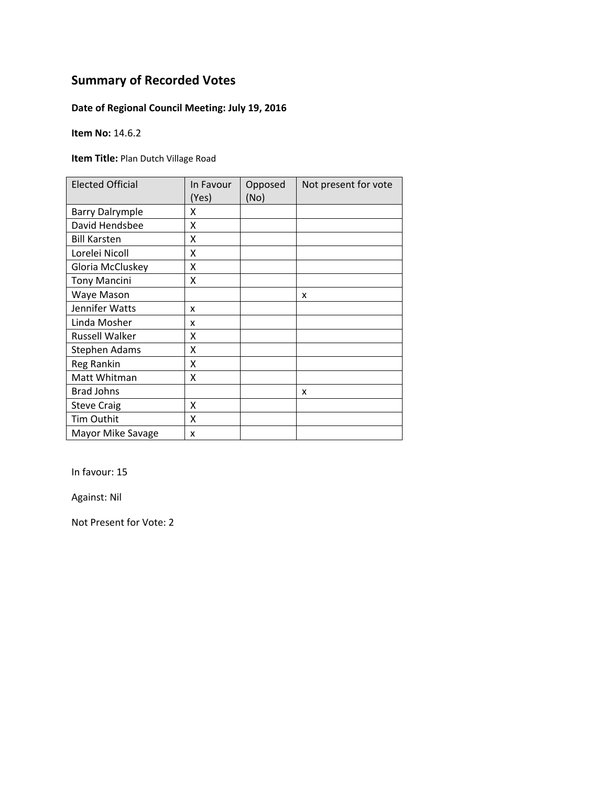### **Date of Regional Council Meeting: July 19, 2016**

**Item No:** 14.6.2

**Item Title:** Plan Dutch Village Road

| <b>Elected Official</b> | In Favour<br>(Yes) | Opposed<br>(No) | Not present for vote |
|-------------------------|--------------------|-----------------|----------------------|
| <b>Barry Dalrymple</b>  | x                  |                 |                      |
| David Hendsbee          | X                  |                 |                      |
| <b>Bill Karsten</b>     | X                  |                 |                      |
| Lorelei Nicoll          | X                  |                 |                      |
| Gloria McCluskey        | Χ                  |                 |                      |
| <b>Tony Mancini</b>     | Χ                  |                 |                      |
| Waye Mason              |                    |                 | x                    |
| Jennifer Watts          | x                  |                 |                      |
| Linda Mosher            | x                  |                 |                      |
| <b>Russell Walker</b>   | χ                  |                 |                      |
| <b>Stephen Adams</b>    | Χ                  |                 |                      |
| Reg Rankin              | X                  |                 |                      |
| Matt Whitman            | Χ                  |                 |                      |
| <b>Brad Johns</b>       |                    |                 | x                    |
| <b>Steve Craig</b>      | X                  |                 |                      |
| Tim Outhit              | X                  |                 |                      |
| Mayor Mike Savage       | X                  |                 |                      |

In favour: 15

Against: Nil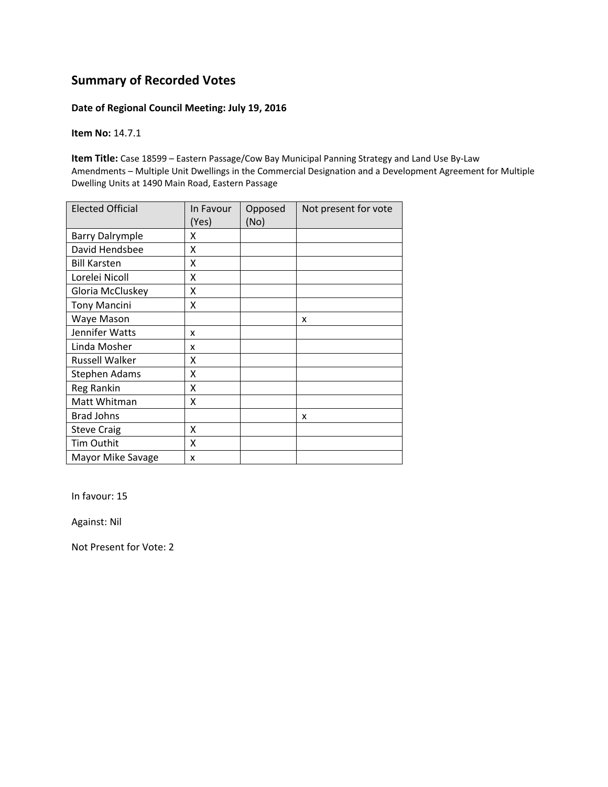#### **Date of Regional Council Meeting: July 19, 2016**

**Item No:** 14.7.1

**Item Title:** Case 18599 – Eastern Passage/Cow Bay Municipal Panning Strategy and Land Use By‐Law Amendments – Multiple Unit Dwellings in the Commercial Designation and a Development Agreement for Multiple Dwelling Units at 1490 Main Road, Eastern Passage

| <b>Elected Official</b> | In Favour<br>(Yes) | Opposed<br>(No) | Not present for vote |
|-------------------------|--------------------|-----------------|----------------------|
| <b>Barry Dalrymple</b>  | x                  |                 |                      |
| David Hendsbee          | X                  |                 |                      |
| <b>Bill Karsten</b>     | X                  |                 |                      |
| Lorelei Nicoll          | Χ                  |                 |                      |
| Gloria McCluskey        | Χ                  |                 |                      |
| <b>Tony Mancini</b>     | Χ                  |                 |                      |
| Waye Mason              |                    |                 | x                    |
| Jennifer Watts          | x                  |                 |                      |
| Linda Mosher            | x                  |                 |                      |
| <b>Russell Walker</b>   | x                  |                 |                      |
| Stephen Adams           | Χ                  |                 |                      |
| Reg Rankin              | X                  |                 |                      |
| Matt Whitman            | X                  |                 |                      |
| <b>Brad Johns</b>       |                    |                 | x                    |
| <b>Steve Craig</b>      | X                  |                 |                      |
| Tim Outhit              | X                  |                 |                      |
| Mayor Mike Savage       | x                  |                 |                      |

In favour: 15

Against: Nil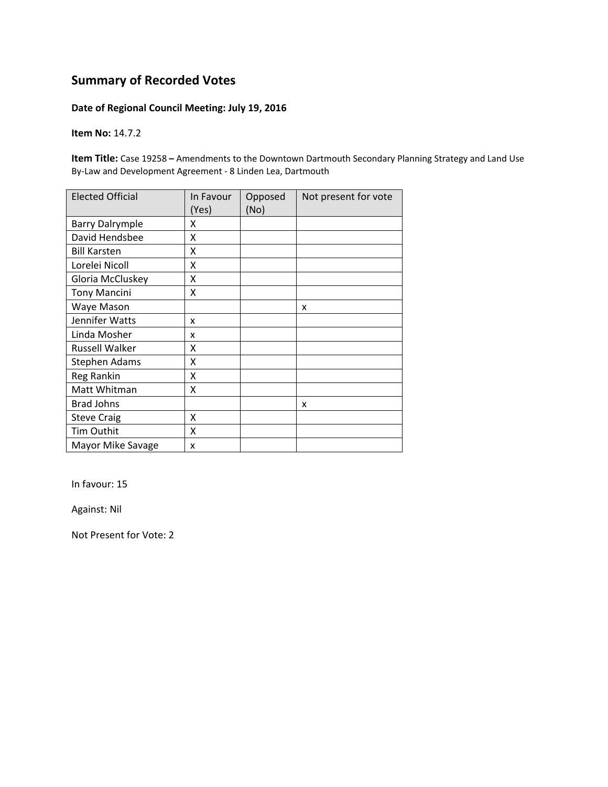### **Date of Regional Council Meeting: July 19, 2016**

**Item No:** 14.7.2

**Item Title:** Case 19258 **–** Amendments to the Downtown Dartmouth Secondary Planning Strategy and Land Use By‐Law and Development Agreement ‐ 8 Linden Lea, Dartmouth

| <b>Elected Official</b> | In Favour<br>(Yes) | Opposed<br>(No) | Not present for vote |
|-------------------------|--------------------|-----------------|----------------------|
| <b>Barry Dalrymple</b>  | x                  |                 |                      |
| David Hendsbee          | X                  |                 |                      |
| <b>Bill Karsten</b>     | X                  |                 |                      |
| Lorelei Nicoll          | X                  |                 |                      |
| Gloria McCluskey        | X                  |                 |                      |
| <b>Tony Mancini</b>     | X                  |                 |                      |
| Waye Mason              |                    |                 | X                    |
| Jennifer Watts          | x                  |                 |                      |
| Linda Mosher            | x                  |                 |                      |
| <b>Russell Walker</b>   | x                  |                 |                      |
| <b>Stephen Adams</b>    | X                  |                 |                      |
| Reg Rankin              | X                  |                 |                      |
| Matt Whitman            | X                  |                 |                      |
| <b>Brad Johns</b>       |                    |                 | x                    |
| <b>Steve Craig</b>      | X                  |                 |                      |
| Tim Outhit              | X                  |                 |                      |
| Mayor Mike Savage       | x                  |                 |                      |

In favour: 15

Against: Nil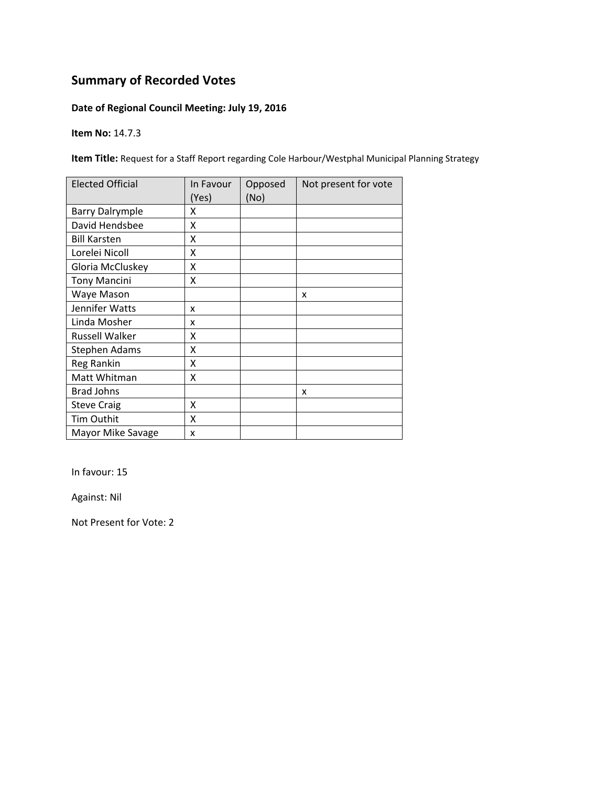### **Date of Regional Council Meeting: July 19, 2016**

**Item No:** 14.7.3

**Item Title:** Request for a Staff Report regarding Cole Harbour/Westphal Municipal Planning Strategy

| <b>Elected Official</b> | In Favour<br>(Yes) | Opposed<br>(No) | Not present for vote |
|-------------------------|--------------------|-----------------|----------------------|
| <b>Barry Dalrymple</b>  | x                  |                 |                      |
| David Hendsbee          | x                  |                 |                      |
| <b>Bill Karsten</b>     | x                  |                 |                      |
| Lorelei Nicoll          | X                  |                 |                      |
| Gloria McCluskey        | Χ                  |                 |                      |
| <b>Tony Mancini</b>     | Χ                  |                 |                      |
| Waye Mason              |                    |                 | X                    |
| Jennifer Watts          | x                  |                 |                      |
| Linda Mosher            | x                  |                 |                      |
| <b>Russell Walker</b>   | x                  |                 |                      |
| <b>Stephen Adams</b>    | x                  |                 |                      |
| Reg Rankin              | Χ                  |                 |                      |
| Matt Whitman            | X                  |                 |                      |
| <b>Brad Johns</b>       |                    |                 | x                    |
| <b>Steve Craig</b>      | x                  |                 |                      |
| Tim Outhit              | X                  |                 |                      |
| Mayor Mike Savage       | X                  |                 |                      |

In favour: 15

Against: Nil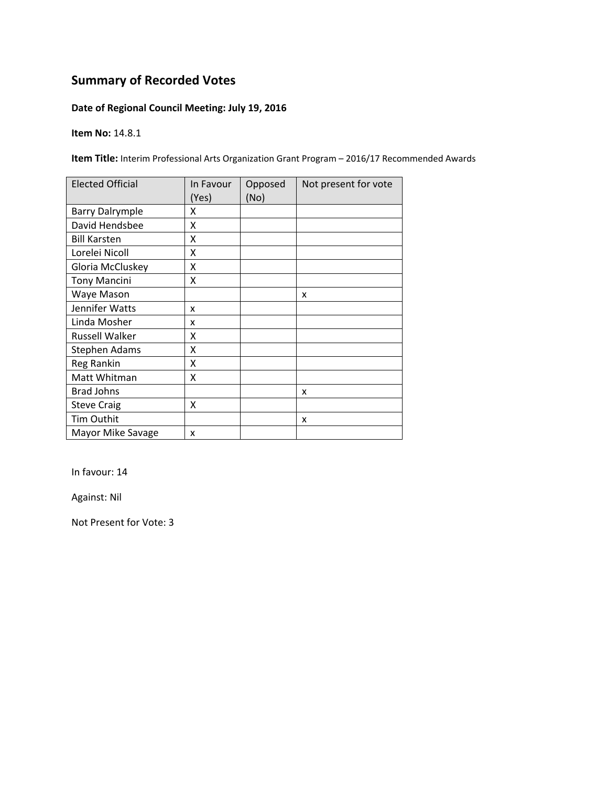### **Date of Regional Council Meeting: July 19, 2016**

**Item No:** 14.8.1

**Item Title:** Interim Professional Arts Organization Grant Program – 2016/17 Recommended Awards

| <b>Elected Official</b> | In Favour<br>(Yes) | Opposed<br>(No) | Not present for vote |
|-------------------------|--------------------|-----------------|----------------------|
| <b>Barry Dalrymple</b>  | x                  |                 |                      |
| David Hendsbee          | x                  |                 |                      |
| <b>Bill Karsten</b>     | x                  |                 |                      |
| Lorelei Nicoll          | Χ                  |                 |                      |
| Gloria McCluskey        | Χ                  |                 |                      |
| <b>Tony Mancini</b>     | Χ                  |                 |                      |
| Waye Mason              |                    |                 | X                    |
| Jennifer Watts          | x                  |                 |                      |
| Linda Mosher            | x                  |                 |                      |
| Russell Walker          | x                  |                 |                      |
| <b>Stephen Adams</b>    | X                  |                 |                      |
| Reg Rankin              | X                  |                 |                      |
| Matt Whitman            | X                  |                 |                      |
| <b>Brad Johns</b>       |                    |                 | x                    |
| <b>Steve Craig</b>      | x                  |                 |                      |
| Tim Outhit              |                    |                 | X                    |
| Mayor Mike Savage       | X                  |                 |                      |

In favour: 14

Against: Nil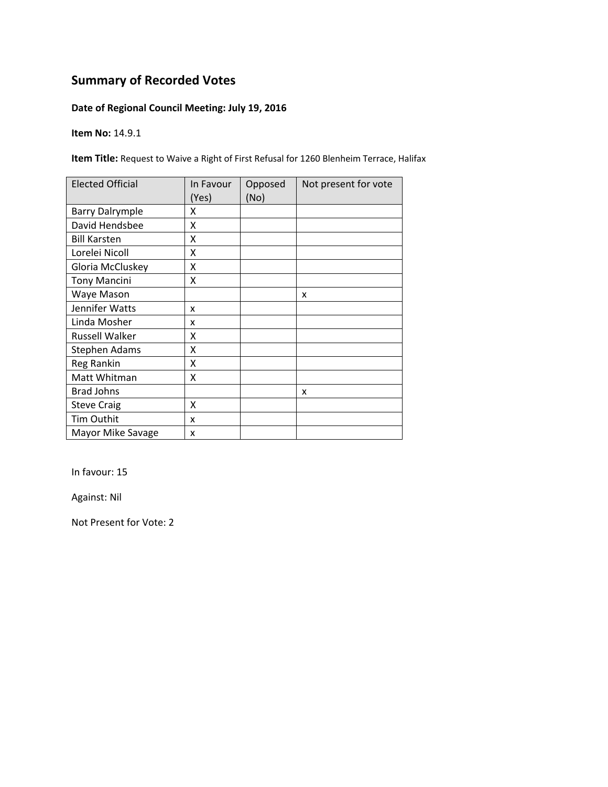### **Date of Regional Council Meeting: July 19, 2016**

**Item No:** 14.9.1

**Item Title:** Request to Waive a Right of First Refusal for 1260 Blenheim Terrace, Halifax

| <b>Elected Official</b> | In Favour<br>(Yes) | Opposed<br>(No) | Not present for vote |
|-------------------------|--------------------|-----------------|----------------------|
| <b>Barry Dalrymple</b>  | x                  |                 |                      |
| David Hendsbee          | Χ                  |                 |                      |
| <b>Bill Karsten</b>     | x                  |                 |                      |
| Lorelei Nicoll          | X                  |                 |                      |
| Gloria McCluskey        | Χ                  |                 |                      |
| <b>Tony Mancini</b>     | Χ                  |                 |                      |
| Waye Mason              |                    |                 | X                    |
| Jennifer Watts          | x                  |                 |                      |
| Linda Mosher            | x                  |                 |                      |
| Russell Walker          | x                  |                 |                      |
| <b>Stephen Adams</b>    | X                  |                 |                      |
| Reg Rankin              | Χ                  |                 |                      |
| Matt Whitman            | X                  |                 |                      |
| <b>Brad Johns</b>       |                    |                 | x                    |
| <b>Steve Craig</b>      | Χ                  |                 |                      |
| Tim Outhit              | x                  |                 |                      |
| Mayor Mike Savage       | x                  |                 |                      |

In favour: 15

Against: Nil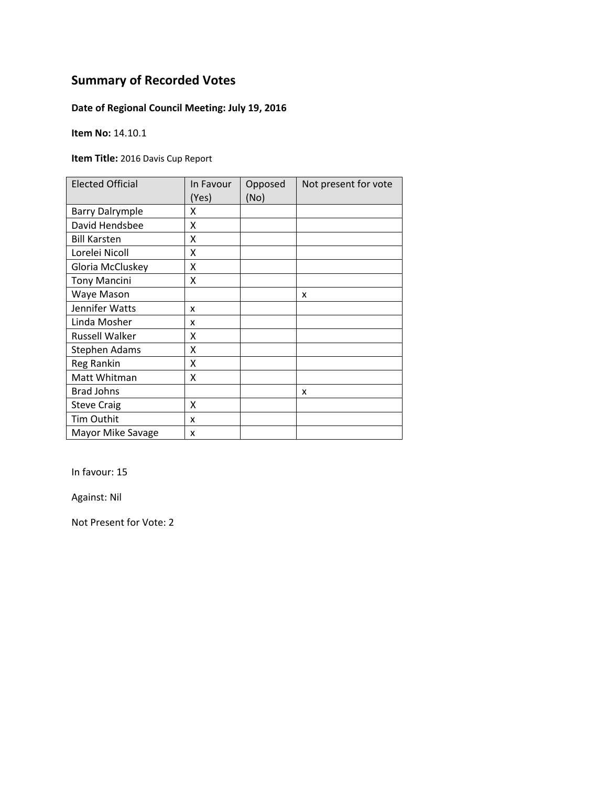### **Date of Regional Council Meeting: July 19, 2016**

**Item No:** 14.10.1

**Item Title:** 2016 Davis Cup Report

| <b>Elected Official</b> | In Favour<br>(Yes) | Opposed<br>(No) | Not present for vote |
|-------------------------|--------------------|-----------------|----------------------|
| <b>Barry Dalrymple</b>  | x                  |                 |                      |
| David Hendsbee          | X                  |                 |                      |
| <b>Bill Karsten</b>     | X                  |                 |                      |
| Lorelei Nicoll          | X                  |                 |                      |
| Gloria McCluskey        | Χ                  |                 |                      |
| <b>Tony Mancini</b>     | Χ                  |                 |                      |
| Waye Mason              |                    |                 | x                    |
| Jennifer Watts          | X                  |                 |                      |
| Linda Mosher            | x                  |                 |                      |
| <b>Russell Walker</b>   | x                  |                 |                      |
| <b>Stephen Adams</b>    | x                  |                 |                      |
| Reg Rankin              | x                  |                 |                      |
| Matt Whitman            | χ                  |                 |                      |
| <b>Brad Johns</b>       |                    |                 | x                    |
| <b>Steve Craig</b>      | X                  |                 |                      |
| Tim Outhit              | x                  |                 |                      |
| Mayor Mike Savage       | x                  |                 |                      |

In favour: 15

Against: Nil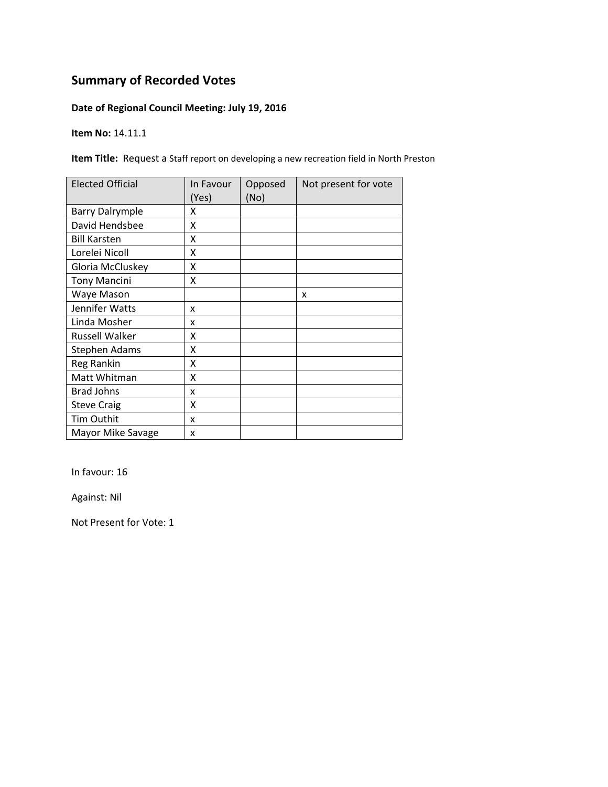### **Date of Regional Council Meeting: July 19, 2016**

**Item No:** 14.11.1

**Item Title:** Request a Staff report on developing a new recreation field in North Preston

| <b>Elected Official</b> | In Favour<br>(Yes) | Opposed<br>(No) | Not present for vote |
|-------------------------|--------------------|-----------------|----------------------|
| <b>Barry Dalrymple</b>  | x                  |                 |                      |
| David Hendsbee          | χ                  |                 |                      |
| <b>Bill Karsten</b>     | χ                  |                 |                      |
| Lorelei Nicoll          | Χ                  |                 |                      |
| Gloria McCluskey        | Χ                  |                 |                      |
| <b>Tony Mancini</b>     | Χ                  |                 |                      |
| Waye Mason              |                    |                 | X                    |
| Jennifer Watts          | x                  |                 |                      |
| Linda Mosher            | x                  |                 |                      |
| Russell Walker          | χ                  |                 |                      |
| Stephen Adams           | χ                  |                 |                      |
| Reg Rankin              | X                  |                 |                      |
| Matt Whitman            | Χ                  |                 |                      |
| <b>Brad Johns</b>       | x                  |                 |                      |
| <b>Steve Craig</b>      | Χ                  |                 |                      |
| Tim Outhit              | x                  |                 |                      |
| Mayor Mike Savage       | x                  |                 |                      |

In favour: 16

Against: Nil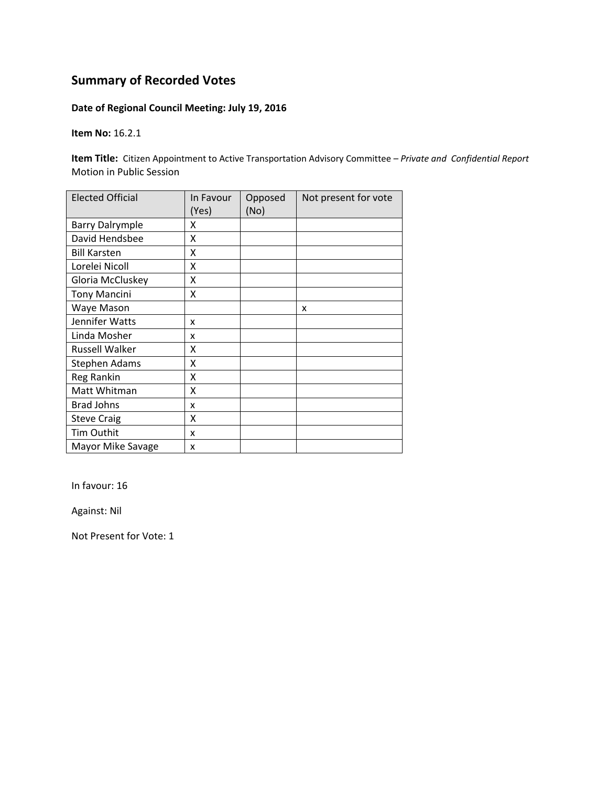### **Date of Regional Council Meeting: July 19, 2016**

**Item No:** 16.2.1

**Item Title:** Citizen Appointment to Active Transportation Advisory Committee *– Private and Confidential Report* Motion in Public Session

| <b>Elected Official</b> | In Favour<br>(Yes) | Opposed<br>(No) | Not present for vote |
|-------------------------|--------------------|-----------------|----------------------|
| <b>Barry Dalrymple</b>  | x                  |                 |                      |
| David Hendsbee          | X                  |                 |                      |
| <b>Bill Karsten</b>     | Χ                  |                 |                      |
| Lorelei Nicoll          | Χ                  |                 |                      |
| Gloria McCluskey        | Χ                  |                 |                      |
| <b>Tony Mancini</b>     | Χ                  |                 |                      |
| Waye Mason              |                    |                 | x                    |
| Jennifer Watts          | x                  |                 |                      |
| Linda Mosher            | x                  |                 |                      |
| <b>Russell Walker</b>   | x                  |                 |                      |
| <b>Stephen Adams</b>    | x                  |                 |                      |
| Reg Rankin              | Χ                  |                 |                      |
| Matt Whitman            | χ                  |                 |                      |
| <b>Brad Johns</b>       | x                  |                 |                      |
| <b>Steve Craig</b>      | X                  |                 |                      |
| Tim Outhit              | x                  |                 |                      |
| Mayor Mike Savage       | x                  |                 |                      |

In favour: 16

Against: Nil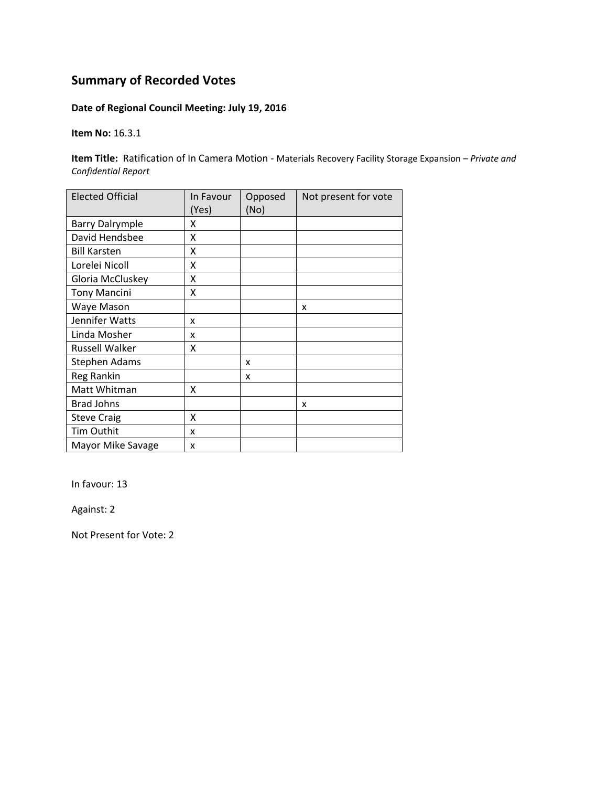### **Date of Regional Council Meeting: July 19, 2016**

**Item No:** 16.3.1

**Item Title:** Ratification of In Camera Motion ‐ Materials Recovery Facility Storage Expansion – *Private and Confidential Report*

| <b>Elected Official</b> | In Favour<br>(Yes) | Opposed<br>(No) | Not present for vote |
|-------------------------|--------------------|-----------------|----------------------|
| <b>Barry Dalrymple</b>  | x                  |                 |                      |
| David Hendsbee          | x                  |                 |                      |
| <b>Bill Karsten</b>     | X                  |                 |                      |
| Lorelei Nicoll          | X                  |                 |                      |
| Gloria McCluskey        | X                  |                 |                      |
| <b>Tony Mancini</b>     | X                  |                 |                      |
| Waye Mason              |                    |                 | x                    |
| Jennifer Watts          | x                  |                 |                      |
| Linda Mosher            | x                  |                 |                      |
| <b>Russell Walker</b>   | x                  |                 |                      |
| Stephen Adams           |                    | x               |                      |
| Reg Rankin              |                    | x               |                      |
| Matt Whitman            | x                  |                 |                      |
| <b>Brad Johns</b>       |                    |                 | x                    |
| <b>Steve Craig</b>      | X                  |                 |                      |
| Tim Outhit              | x                  |                 |                      |
| Mayor Mike Savage       | x                  |                 |                      |

In favour: 13

Against: 2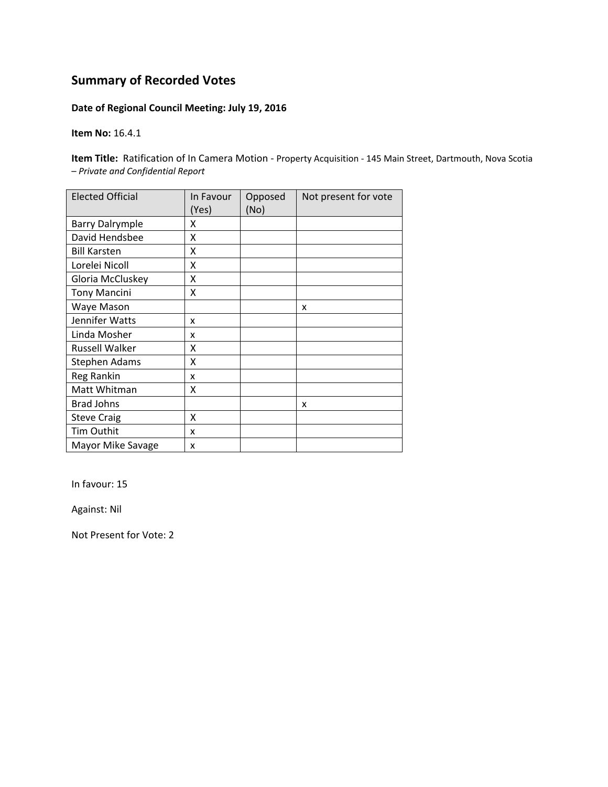### **Date of Regional Council Meeting: July 19, 2016**

**Item No:** 16.4.1

**Item Title:** Ratification of In Camera Motion - Property Acquisition - 145 Main Street, Dartmouth, Nova Scotia – *Private and Confidential Report*

| <b>Elected Official</b> | In Favour<br>(Yes) | Opposed<br>(No) | Not present for vote |
|-------------------------|--------------------|-----------------|----------------------|
| <b>Barry Dalrymple</b>  | x                  |                 |                      |
| David Hendsbee          | X                  |                 |                      |
| <b>Bill Karsten</b>     | X                  |                 |                      |
| Lorelei Nicoll          | X                  |                 |                      |
| Gloria McCluskey        | X                  |                 |                      |
| <b>Tony Mancini</b>     | X                  |                 |                      |
| Waye Mason              |                    |                 | X                    |
| Jennifer Watts          | x                  |                 |                      |
| Linda Mosher            | x                  |                 |                      |
| Russell Walker          | X                  |                 |                      |
| Stephen Adams           | X                  |                 |                      |
| Reg Rankin              | x                  |                 |                      |
| Matt Whitman            | X                  |                 |                      |
| <b>Brad Johns</b>       |                    |                 | x                    |
| <b>Steve Craig</b>      | X                  |                 |                      |
| Tim Outhit              | x                  |                 |                      |
| Mayor Mike Savage       | x                  |                 |                      |

In favour: 15

Against: Nil